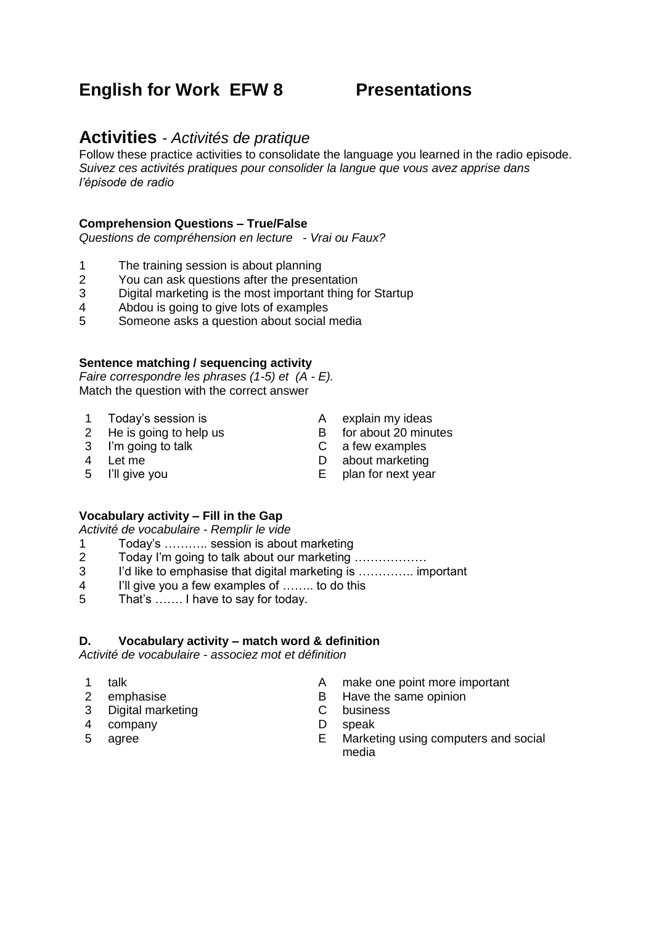# **English for Work EFW 8 Presentations**

## **Activities** *- Activités de pratique*

Follow these practice activities to consolidate the language you learned in the radio episode. *Suivez ces activités pratiques pour consolider la langue que vous avez apprise dans l'épisode de radio*

#### **Comprehension Questions – True/False**

*Questions de compréhension en lecture - Vrai ou Faux?*

- 1 The training session is about planning
- 2 You can ask questions after the presentation
- 3 Digital marketing is the most important thing for Startup<br>4 Abdou is going to give lots of examples
- Abdou is going to give lots of examples
- 5 Someone asks a question about social media

#### **Sentence matching / sequencing activity**

*Faire correspondre les phrases (1-5) et (A - E).* Match the question with the correct answer

- 1 Today's session is A explain my ideas
- 2 He is going to help us B for about 20 minutes
- -
- 3 I'm going to talk C a few examples
	-
- 
- 4 Let me <br>
5 I'll give you <br>
E plan for next yea
	- $E$  plan for next year

#### **Vocabulary activity – Fill in the Gap**

*Activité de vocabulaire - Remplir le vide*

- 1 Today's ……….. session is about marketing
- 2 Today I'm going to talk about our marketing ………………
- 3 I'd like to emphasise that digital marketing is ………….. important
- 4 I'll give you a few examples of …….. to do this
- 5 That's ……. I have to say for today.

#### **D. Vocabulary activity – match word & definition**

*Activité de vocabulaire - associez mot et définition*

- 
- 
- 3 Digital marketing C business
- 4 company D speak
- 
- 1 talk **A** make one point more important
- 2 emphasise B Have the same opinion
	-
	-
- 5 agree E Marketing using computers and social media